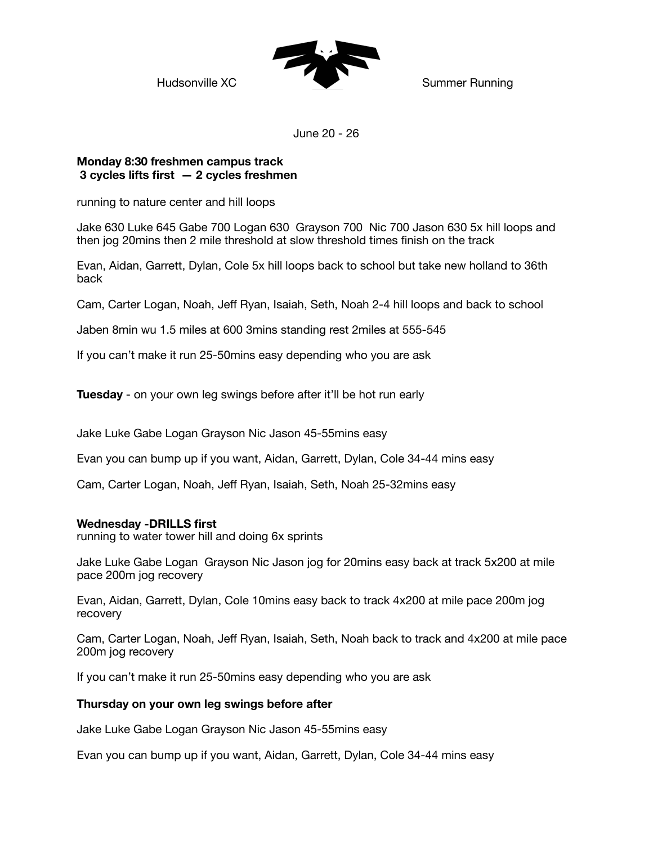

June 20 - 26

# **Monday 8:30 freshmen campus track 3 cycles lifts first — 2 cycles freshmen**

running to nature center and hill loops

Jake 630 Luke 645 Gabe 700 Logan 630 Grayson 700 Nic 700 Jason 630 5x hill loops and then jog 20mins then 2 mile threshold at slow threshold times finish on the track

Evan, Aidan, Garrett, Dylan, Cole 5x hill loops back to school but take new holland to 36th back

Cam, Carter Logan, Noah, Jeff Ryan, Isaiah, Seth, Noah 2-4 hill loops and back to school

Jaben 8min wu 1.5 miles at 600 3mins standing rest 2miles at 555-545

If you can't make it run 25-50mins easy depending who you are ask

**Tuesday** - on your own leg swings before after it'll be hot run early

Jake Luke Gabe Logan Grayson Nic Jason 45-55mins easy

Evan you can bump up if you want, Aidan, Garrett, Dylan, Cole 34-44 mins easy

Cam, Carter Logan, Noah, Jeff Ryan, Isaiah, Seth, Noah 25-32mins easy

## **Wednesday -DRILLS first**

running to water tower hill and doing 6x sprints

Jake Luke Gabe Logan Grayson Nic Jason jog for 20mins easy back at track 5x200 at mile pace 200m jog recovery

Evan, Aidan, Garrett, Dylan, Cole 10mins easy back to track 4x200 at mile pace 200m jog recovery

Cam, Carter Logan, Noah, Jeff Ryan, Isaiah, Seth, Noah back to track and 4x200 at mile pace 200m jog recovery

If you can't make it run 25-50mins easy depending who you are ask

## **Thursday on your own leg swings before after**

Jake Luke Gabe Logan Grayson Nic Jason 45-55mins easy

Evan you can bump up if you want, Aidan, Garrett, Dylan, Cole 34-44 mins easy